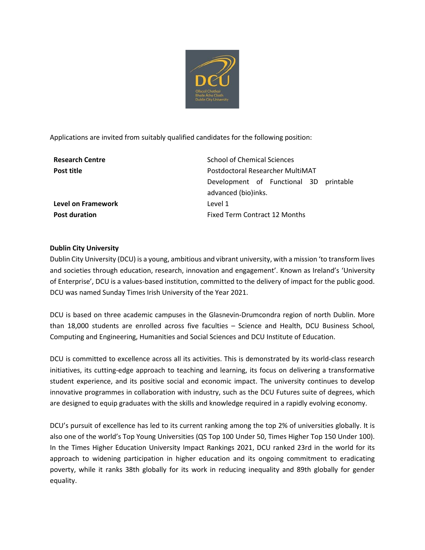

Applications are invited from suitably qualified candidates for the following position:

| <b>Research Centre</b> | School of Chemical Sciences            |
|------------------------|----------------------------------------|
| Post title             | Postdoctoral Researcher MultiMAT       |
|                        | Development of Functional 3D printable |
|                        | advanced (bio)inks.                    |
| Level on Framework     | Level 1                                |
| <b>Post duration</b>   | Fixed Term Contract 12 Months          |
|                        |                                        |

# **Dublin City University**

Dublin City University (DCU) is a young, ambitious and vibrant university, with a mission 'to transform lives and societies through education, research, innovation and engagement'. Known as Ireland's 'University of Enterprise', DCU is a values-based institution, committed to the delivery of impact for the public good. DCU was named Sunday Times Irish University of the Year 2021.

DCU is based on three academic campuses in the Glasnevin-Drumcondra region of north Dublin. More than 18,000 students are enrolled across five faculties – Science and Health, DCU Business School, Computing and Engineering, Humanities and Social Sciences and DCU Institute of Education.

DCU is committed to excellence across all its activities. This is demonstrated by its world-class research initiatives, its cutting-edge approach to teaching and learning, its focus on delivering a transformative student experience, and its positive social and economic impact. The university continues to develop innovative programmes in collaboration with industry, such as the DCU Futures suite of degrees, which are designed to equip graduates with the skills and knowledge required in a rapidly evolving economy.

DCU's pursuit of excellence has led to its current ranking among the top 2% of universities globally. It is also one of the world's Top Young Universities (QS Top 100 Under 50, Times Higher Top 150 Under 100). In the Times Higher Education University Impact Rankings 2021, DCU ranked 23rd in the world for its approach to widening participation in higher education and its ongoing commitment to eradicating poverty, while it ranks 38th globally for its work in reducing inequality and 89th globally for gender equality.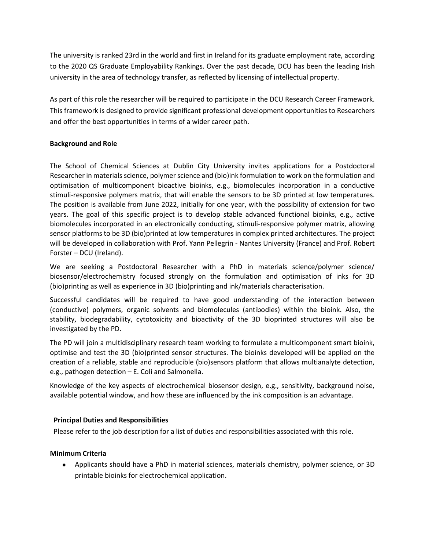The university is ranked 23rd in the world and first in Ireland for its graduate employment rate, according to the 2020 QS Graduate Employability Rankings. Over the past decade, DCU has been the leading Irish university in the area of technology transfer, as reflected by licensing of intellectual property.

As part of this role the researcher will be required to participate in the DCU Research Career Framework. This framework is designed to provide significant professional development opportunities to Researchers and offer the best opportunities in terms of a wider career path.

# **Background and Role**

The School of Chemical Sciences at Dublin City University invites applications for a Postdoctoral Researcher in materials science, polymer science and (bio)ink formulation to work on the formulation and optimisation of multicomponent bioactive bioinks, e.g., biomolecules incorporation in a conductive stimuli-responsive polymers matrix, that will enable the sensors to be 3D printed at low temperatures. The position is available from June 2022, initially for one year, with the possibility of extension for two years. The goal of this specific project is to develop stable advanced functional bioinks, e.g., active biomolecules incorporated in an electronically conducting, stimuli-responsive polymer matrix, allowing sensor platforms to be 3D (bio)printed at low temperatures in complex printed architectures. The project will be developed in collaboration with Prof. Yann Pellegrin - Nantes University (France) and Prof. Robert Forster – DCU (Ireland).

We are seeking a Postdoctoral Researcher with a PhD in materials science/polymer science/ biosensor/electrochemistry focused strongly on the formulation and optimisation of inks for 3D (bio)printing as well as experience in 3D (bio)printing and ink/materials characterisation.

Successful candidates will be required to have good understanding of the interaction between (conductive) polymers, organic solvents and biomolecules (antibodies) within the bioink. Also, the stability, biodegradability, cytotoxicity and bioactivity of the 3D bioprinted structures will also be investigated by the PD.

The PD will join a multidisciplinary research team working to formulate a multicomponent smart bioink, optimise and test the 3D (bio)printed sensor structures. The bioinks developed will be applied on the creation of a reliable, stable and reproducible (bio)sensors platform that allows multianalyte detection, e.g., pathogen detection – E. Coli and Salmonella.

Knowledge of the key aspects of electrochemical biosensor design, e.g., sensitivity, background noise, available potential window, and how these are influenced by the ink composition is an advantage.

## **Principal Duties and Responsibilities**

Please refer to the job description for a list of duties and responsibilities associated with this role.

## **Minimum Criteria**

• Applicants should have a PhD in material sciences, materials chemistry, polymer science, or 3D printable bioinks for electrochemical application.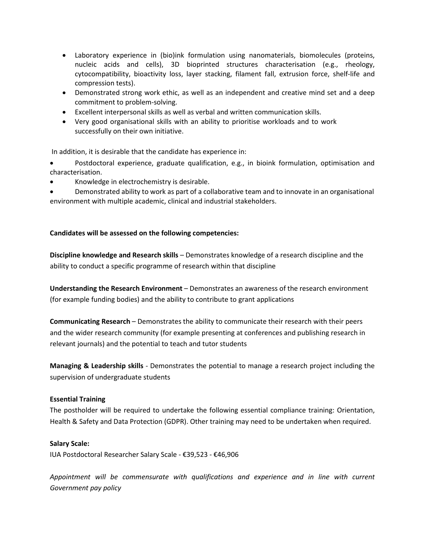- Laboratory experience in (bio)ink formulation using nanomaterials, biomolecules (proteins, nucleic acids and cells), 3D bioprinted structures characterisation (e.g., rheology, cytocompatibility, bioactivity loss, layer stacking, filament fall, extrusion force, shelf-life and compression tests).
- Demonstrated strong work ethic, as well as an independent and creative mind set and a deep commitment to problem-solving.
- Excellent interpersonal skills as well as verbal and written communication skills.
- Very good organisational skills with an ability to prioritise workloads and to work successfully on their own initiative.

In addition, it is desirable that the candidate has experience in:

• Postdoctoral experience, graduate qualification, e.g., in bioink formulation, optimisation and characterisation.

- Knowledge in electrochemistry is desirable.
- Demonstrated ability to work as part of a collaborative team and to innovate in an organisational environment with multiple academic, clinical and industrial stakeholders.

# **Candidates will be assessed on the following competencies:**

**Discipline knowledge and Research skills** – Demonstrates knowledge of a research discipline and the ability to conduct a specific programme of research within that discipline

**Understanding the Research Environment** – Demonstrates an awareness of the research environment (for example funding bodies) and the ability to contribute to grant applications

**Communicating Research** – Demonstrates the ability to communicate their research with their peers and the wider research community (for example presenting at conferences and publishing research in relevant journals) and the potential to teach and tutor students

**Managing & Leadership skills** - Demonstrates the potential to manage a research project including the supervision of undergraduate students

## **Essential Training**

The postholder will be required to undertake the following essential compliance training: Orientation, Health & Safety and Data Protection (GDPR). Other training may need to be undertaken when required.

## **Salary Scale:**

IUA Postdoctoral Researcher Salary Scale - €39,523 - €46,906

*Appointment will be commensurate with qualifications and experience and in line with current Government pay policy*